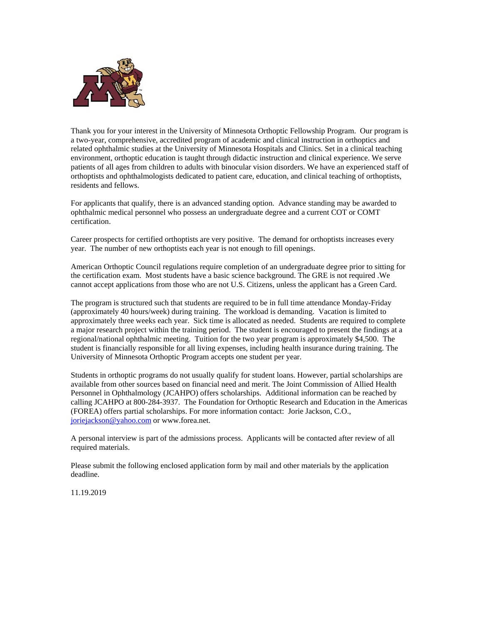

Thank you for your interest in the University of Minnesota Orthoptic Fellowship Program. Our program is a two-year, comprehensive, accredited program of academic and clinical instruction in orthoptics and related ophthalmic studies at the University of Minnesota Hospitals and Clinics. Set in a clinical teaching environment, orthoptic education is taught through didactic instruction and clinical experience. We serve patients of all ages from children to adults with binocular vision disorders. We have an experienced staff of orthoptists and ophthalmologists dedicated to patient care, education, and clinical teaching of orthoptists, residents and fellows.

For applicants that qualify, there is an advanced standing option. Advance standing may be awarded to ophthalmic medical personnel who possess an undergraduate degree and a current COT or COMT certification.

Career prospects for certified orthoptists are very positive. The demand for orthoptists increases every year. The number of new orthoptists each year is not enough to fill openings.

American Orthoptic Council regulations require completion of an undergraduate degree prior to sitting for the certification exam. Most students have a basic science background. The GRE is not required .We cannot accept applications from those who are not U.S. Citizens, unless the applicant has a Green Card.

The program is structured such that students are required to be in full time attendance Monday-Friday (approximately 40 hours/week) during training. The workload is demanding. Vacation is limited to approximately three weeks each year. Sick time is allocated as needed. Students are required to complete a major research project within the training period. The student is encouraged to present the findings at a regional/national ophthalmic meeting. Tuition for the two year program is approximately \$4,500. The student is financially responsible for all living expenses, including health insurance during training. The University of Minnesota Orthoptic Program accepts one student per year.

Students in orthoptic programs do not usually qualify for student loans. However, partial scholarships are available from other sources based on financial need and merit. The Joint Commission of Allied Health Personnel in Ophthalmology (JCAHPO) offers scholarships. Additional information can be reached by calling JCAHPO at 800-284-3937. The Foundation for Orthoptic Research and Education in the Americas (FOREA) offers partial scholarships. For more information contact: Jorie Jackson, C.O., joriejackson@yahoo.com or www.forea.net.

A personal interview is part of the admissions process. Applicants will be contacted after review of all required materials.

Please submit the following enclosed application form by mail and other materials by the application deadline.

11.19.2019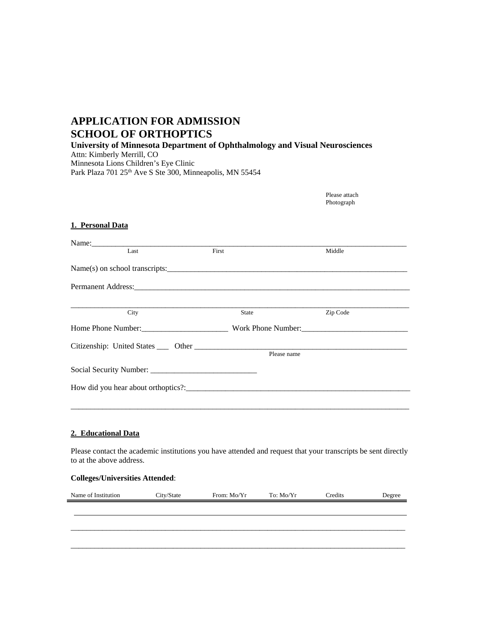# **APPLICATION FOR ADMISSION SCHOOL OF ORTHOPTICS**

**University of Minnesota Department of Ophthalmology and Visual Neurosciences**  Attn: Kimberly Merrill, CO Minnesota Lions Children's Eye Clinic

Park Plaza 701 25<sup>th</sup> Ave S Ste 300, Minneapolis, MN 55454

Please attach Photograph

## **1. Personal Data**

| Name: $\frac{1}{\sum_{i=1}^{n} x_i}$                                                                                                                                                                                          |             |          |
|-------------------------------------------------------------------------------------------------------------------------------------------------------------------------------------------------------------------------------|-------------|----------|
| Last                                                                                                                                                                                                                          | First       | Middle   |
|                                                                                                                                                                                                                               |             |          |
| Permanent Address: 2008 and 2008 and 2008 and 2008 and 2008 and 2008 and 2008 and 2008 and 2008 and 2008 and 2008 and 2008 and 2008 and 2008 and 2008 and 2008 and 2008 and 2008 and 2008 and 2008 and 2008 and 2008 and 2008 |             |          |
|                                                                                                                                                                                                                               |             |          |
| City                                                                                                                                                                                                                          | State       | Zip Code |
|                                                                                                                                                                                                                               |             |          |
|                                                                                                                                                                                                                               |             |          |
|                                                                                                                                                                                                                               | Please name |          |
|                                                                                                                                                                                                                               |             |          |
|                                                                                                                                                                                                                               |             |          |
|                                                                                                                                                                                                                               |             |          |
|                                                                                                                                                                                                                               |             |          |

## **2. Educational Data**

Please contact the academic institutions you have attended and request that your transcripts be sent directly to at the above address.

### **Colleges/Universities Attended**:

| Name of Institution | City/State | From: Mo/Yr | To: Mo/Yr | Credits | Degree |
|---------------------|------------|-------------|-----------|---------|--------|
|                     |            |             |           |         |        |
|                     |            |             |           |         |        |
|                     |            |             |           |         |        |
|                     |            |             |           |         |        |
|                     |            |             |           |         |        |